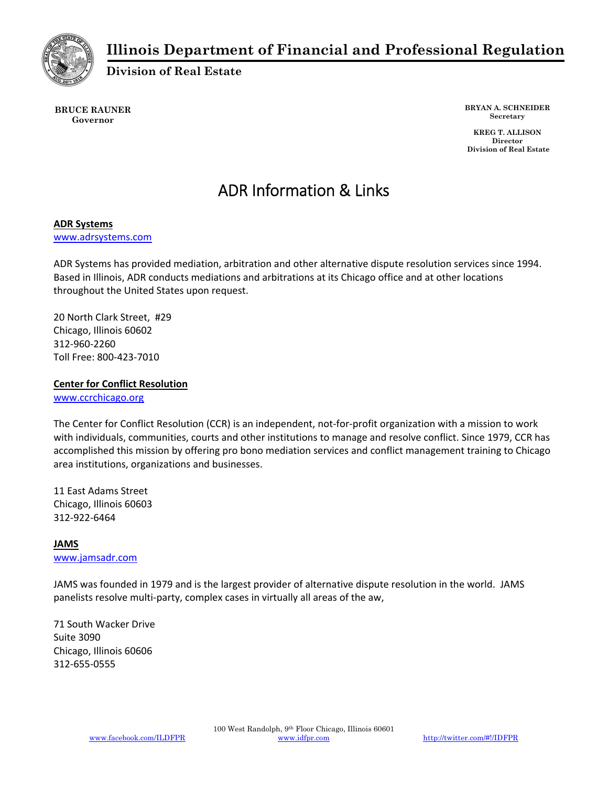

### **Illinois Department of Financial and Professional Regulation**

**Division of Real Estate** 

**BRUCE RAUNER Governor** 

**BRYAN A. SCHNEIDER Secretary** 

 **KREG T. ALLISON Director Division of Real Estate**

# ADR Information & Links

### **ADR Systems**

www.adrsystems.com

ADR Systems has provided mediation, arbitration and other alternative dispute resolution services since 1994. Based in Illinois, ADR conducts mediations and arbitrations at its Chicago office and at other locations throughout the United States upon request.

20 North Clark Street, #29 Chicago, Illinois 60602 312‐960‐2260 Toll Free: 800‐423‐7010

**Center for Conflict Resolution**

www.ccrchicago.org

The Center for Conflict Resolution (CCR) is an independent, not‐for‐profit organization with a mission to work with individuals, communities, courts and other institutions to manage and resolve conflict. Since 1979, CCR has accomplished this mission by offering pro bono mediation services and conflict management training to Chicago area institutions, organizations and businesses.

11 East Adams Street Chicago, Illinois 60603 312‐922‐6464

## **JAMS**

www.jamsadr.com

JAMS was founded in 1979 and is the largest provider of alternative dispute resolution in the world. JAMS panelists resolve multi‐party, complex cases in virtually all areas of the aw,

71 South Wacker Drive Suite 3090 Chicago, Illinois 60606 312‐655‐0555